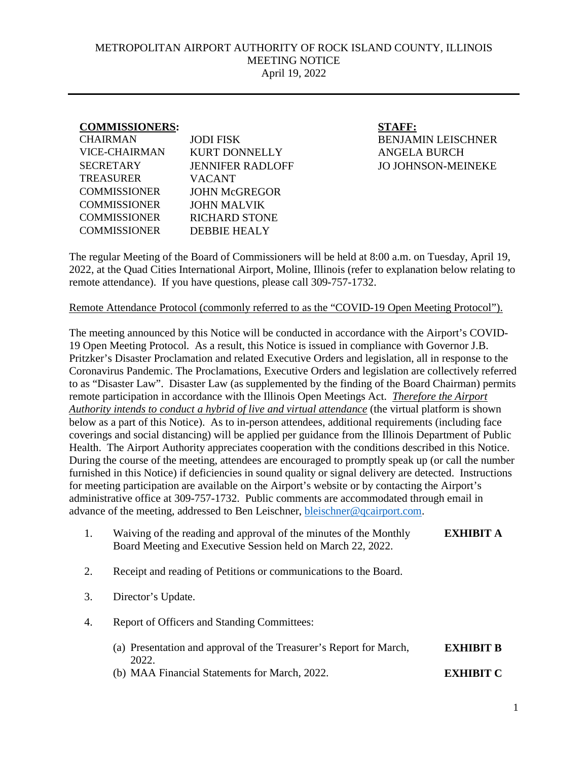## METROPOLITAN AIRPORT AUTHORITY OF ROCK ISLAND COUNTY, ILLINOIS MEETING NOTICE April 19, 2022

## **COMMISSIONERS: STAFF:**

| <b>CHAIRMAN</b>      | <b>JODI FISK</b>        |
|----------------------|-------------------------|
| <b>VICE-CHAIRMAN</b> | <b>KURT DONNELLY</b>    |
| <b>SECRETARY</b>     | <b>JENNIFER RADLOFF</b> |
| <b>TREASURER</b>     | <b>VACANT</b>           |
| <b>COMMISSIONER</b>  | <b>JOHN McGREGOR</b>    |
| <b>COMMISSIONER</b>  | <b>JOHN MALVIK</b>      |
| <b>COMMISSIONER</b>  | <b>RICHARD STONE</b>    |
| <b>COMMISSIONER</b>  | DEBBIE HEALY            |
|                      |                         |

**BENJAMIN LEISCHNER** ANGELA BURCH JO JOHNSON-MEINEKE

The regular Meeting of the Board of Commissioners will be held at 8:00 a.m. on Tuesday, April 19, 2022, at the Quad Cities International Airport, Moline, Illinois (refer to explanation below relating to remote attendance). If you have questions, please call 309-757-1732.

## Remote Attendance Protocol (commonly referred to as the "COVID-19 Open Meeting Protocol").

The meeting announced by this Notice will be conducted in accordance with the Airport's COVID-19 Open Meeting Protocol. As a result, this Notice is issued in compliance with Governor J.B. Pritzker's Disaster Proclamation and related Executive Orders and legislation, all in response to the Coronavirus Pandemic. The Proclamations, Executive Orders and legislation are collectively referred to as "Disaster Law". Disaster Law (as supplemented by the finding of the Board Chairman) permits remote participation in accordance with the Illinois Open Meetings Act. *Therefore the Airport Authority intends to conduct a hybrid of live and virtual attendance* (the virtual platform is shown below as a part of this Notice). As to in-person attendees, additional requirements (including face coverings and social distancing) will be applied per guidance from the Illinois Department of Public Health. The Airport Authority appreciates cooperation with the conditions described in this Notice. During the course of the meeting, attendees are encouraged to promptly speak up (or call the number furnished in this Notice) if deficiencies in sound quality or signal delivery are detected. Instructions for meeting participation are available on the Airport's website or by contacting the Airport's administrative office at 309-757-1732. Public comments are accommodated through email in advance of the meeting, addressed to Ben Leischner, [bleischner@qcairport.com.](mailto:bleischner@qcairport.com)

| Waiving of the reading and approval of the minutes of the Monthly | <b>EXHIBIT A</b> |
|-------------------------------------------------------------------|------------------|
| Board Meeting and Executive Session held on March 22, 2022.       |                  |

- 2. Receipt and reading of Petitions or communications to the Board.
- 3. Director's Update.
- 4. Report of Officers and Standing Committees:
	- (a) Presentation and approval of the Treasurer's Report for March, 2022. **EXHIBIT B**
	- (b) MAA Financial Statements for March, 2022. **EXHIBIT C**